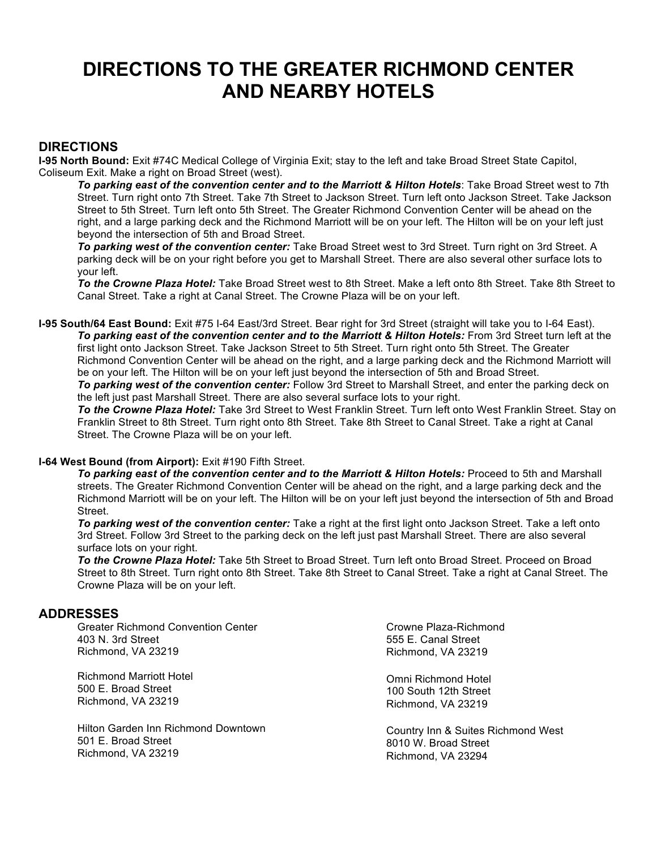# **DIRECTIONS TO THE GREATER RICHMOND CENTER AND NEARBY HOTELS**

### **DIRECTIONS**

**I-95 North Bound:** Exit #74C Medical College of Virginia Exit; stay to the left and take Broad Street State Capitol, Coliseum Exit. Make a right on Broad Street (west).

*To parking east of the convention center and to the Marriott & Hilton Hotels*: Take Broad Street west to 7th Street. Turn right onto 7th Street. Take 7th Street to Jackson Street. Turn left onto Jackson Street. Take Jackson Street to 5th Street. Turn left onto 5th Street. The Greater Richmond Convention Center will be ahead on the right, and a large parking deck and the Richmond Marriott will be on your left. The Hilton will be on your left just beyond the intersection of 5th and Broad Street.

*To parking west of the convention center:* Take Broad Street west to 3rd Street. Turn right on 3rd Street. A parking deck will be on your right before you get to Marshall Street. There are also several other surface lots to your left.

*To the Crowne Plaza Hotel:* Take Broad Street west to 8th Street. Make a left onto 8th Street. Take 8th Street to Canal Street. Take a right at Canal Street. The Crowne Plaza will be on your left.

**I-95 South/64 East Bound:** Exit #75 I-64 East/3rd Street. Bear right for 3rd Street (straight will take you to I-64 East). *To parking east of the convention center and to the Marriott & Hilton Hotels:* From 3rd Street turn left at the first light onto Jackson Street. Take Jackson Street to 5th Street. Turn right onto 5th Street. The Greater Richmond Convention Center will be ahead on the right, and a large parking deck and the Richmond Marriott will be on your left. The Hilton will be on your left just beyond the intersection of 5th and Broad Street.

*To parking west of the convention center:* Follow 3rd Street to Marshall Street, and enter the parking deck on the left just past Marshall Street. There are also several surface lots to your right.

*To the Crowne Plaza Hotel:* Take 3rd Street to West Franklin Street. Turn left onto West Franklin Street. Stay on Franklin Street to 8th Street. Turn right onto 8th Street. Take 8th Street to Canal Street. Take a right at Canal Street. The Crowne Plaza will be on your left.

#### **I-64 West Bound (from Airport):** Exit #190 Fifth Street.

*To parking east of the convention center and to the Marriott & Hilton Hotels:* Proceed to 5th and Marshall streets. The Greater Richmond Convention Center will be ahead on the right, and a large parking deck and the Richmond Marriott will be on your left. The Hilton will be on your left just beyond the intersection of 5th and Broad Street.

*To parking west of the convention center:* Take a right at the first light onto Jackson Street. Take a left onto 3rd Street. Follow 3rd Street to the parking deck on the left just past Marshall Street. There are also several surface lots on your right.

*To the Crowne Plaza Hotel:* Take 5th Street to Broad Street. Turn left onto Broad Street. Proceed on Broad Street to 8th Street. Turn right onto 8th Street. Take 8th Street to Canal Street. Take a right at Canal Street. The Crowne Plaza will be on your left.

#### **ADDRESSES**

Greater Richmond Convention Center 403 N. 3rd Street Richmond, VA 23219

Richmond Marriott Hotel 500 E. Broad Street Richmond, VA 23219

Hilton Garden Inn Richmond Downtown 501 E. Broad Street Richmond, VA 23219

Crowne Plaza-Richmond 555 E. Canal Street Richmond, VA 23219

Omni Richmond Hotel 100 South 12th Street Richmond, VA 23219

Country Inn & Suites Richmond West 8010 W. Broad Street Richmond, VA 23294